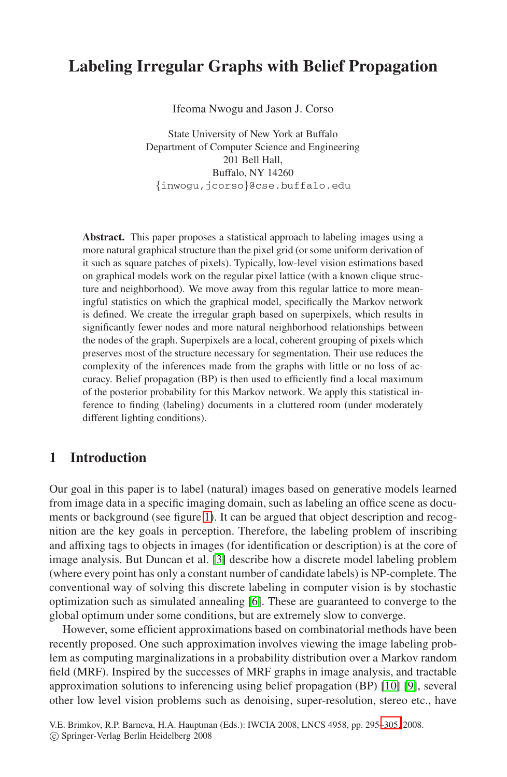# **Labeling Irregular Graphs with Belief Propagation**

Ifeoma Nwogu and Jason J. Corso

State University of New York at Buffalo Department of Computer Science and Engineering 201 Bell Hall, Buffalo, NY 14260 {inwogu,jcorso}@cse.buffalo.edu

**Abstract.** This paper proposes a statistical approach to labeling images using a more natural graphical structure than the pixel grid (or some uniform derivation of it such as square patches of pixels). Typically, low-level vision estimations based on graphical models work on the regular pixel lattice (with a known clique structure and neighborhood). We move away from this regular lattice to more meaningful statistics on which the graphical model, specifically the Markov network is defined. We create the irregular graph based on superpixels, which results in significantly fewer nodes and more natural neighborhood relationships between the nodes of the graph. Superpixels are a local, coherent grouping of pixels which preserves most of the structure necessary for segmentation. Their use reduces the complexity of the inferences made from the graphs with little or no loss of accuracy. Belief propagation (BP) is then used to efficiently find a local maximum of the posterior probability for this Markov network. We apply this statistical inferen[ce](#page-1-0) to finding (labeling) documents in a cluttered room (under moderately different lighting conditions).

# 1 Introdu[ct](#page-9-0)ion

Our goal in this pape[r is](#page-10-0) to label (natural) images based on generative models learned from image data in a specific imaging domain, such as labeling an office scene as documents or background (see figure 1). It can be argued that object description and recognition are the key goals in perception. Therefore, the labeling problem of inscribing and affixing tags to objects in images (for identification or description) is at the core of image analysis. But Duncan et al. [3] describe how a discrete model labeling problem (where every point has only a constant number of c[and](#page-10-1)i[dat](#page-10-2)e labels) is NP-complete. The conventional way of solving this discrete labeling in computer vision is by stochastic optimization such as simulated annealing [6]. These are guaranteed to converge to the global optimum under some conditions, but are e[xtrem](#page-10-3)ely slow to converge.

However, some efficient approximations based on combinatorial methods have been recently proposed. One such approximation involves viewing the image labeling problem as computing marginalizations in a probability distribution over a Markov random field (MRF). Inspired by the successes of MRF graphs in image analysis, and tractable approximation solutions to inferencing using belief propagation (BP) [10] [9], several other low level vision problems such as denoising, super-resolution, stereo etc., have

V.E. Brimkov, R.P. Barneva, H.A. Hauptman (Eds.): IWCIA 2008, LNCS 4958, pp. 295–305, 2008. -c Springer-Verlag Berlin Heidelberg 2008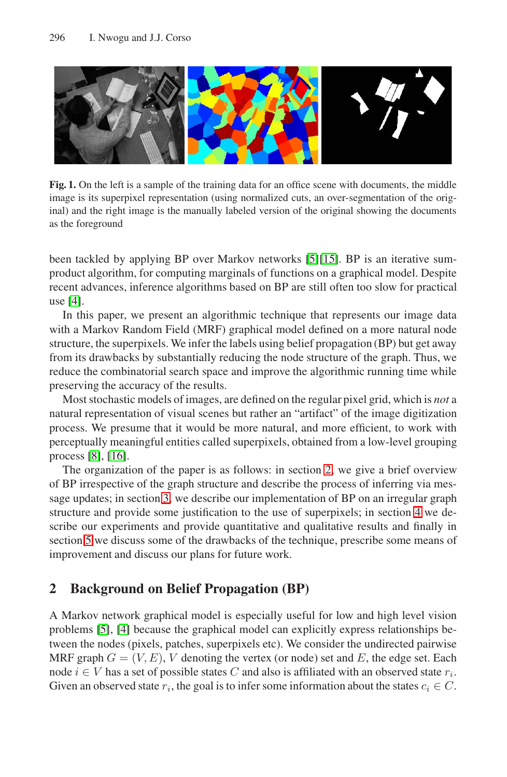<span id="page-1-0"></span>

**Fig. 1.** On the left is a sample of the training data for an office scene with documents, the middle image is its superpixel representation (using normalized cuts, an over-segmentation of the original) and the right image is the manually labeled version of the original showing the documents as the foreground

been tackled by applying BP over Markov networks [5][15]. BP is an iterative sumproduct algorithm, for computing marginals of functions on a graphical model. Despite recent advances, inference algorithms based on BP are still often too slow for practical use [4].

In this paper, we present an algorithmic technique that represents our image data with a Markov Random Field (MRF) graphical model defined on a more natural node structure, the superpixels. We infer the labels using belief propagation (BP) but get away from its drawbacks by substantially r[edu](#page-1-1)cing the node structure of the graph. Thus, we reduce the combinatorial search space and improve the algorithmic running time while pr[ese](#page-4-0)rving the accuracy of the results.

Most stochastic models of images, are defined on the r[egu](#page-6-0)lar pixel grid, which is *not* a natural representation of visual scenes but rather an "artifact" of the image digitization process. We presume that it would be more natural, and more efficient, to work with perceptually meaningful entities called superpixels, obtained from a low-level grouping process [8], [16].

<span id="page-1-1"></span>The organization of the paper is as follows: in section 2, we give a brief overview of BP irrespective of the graph structure and describe the process of inferring via message updates; in section 3, we describe our implementation of BP on an irregular graph structure and provide some justification to the use of superpixels; in section 4 we describe our experiments and provide quantitative and qualitative results and finally in section 5 we discuss some of the drawbacks of the technique, prescribe some means of improvement and discuss our plans for future work.

### **2 Background on Belief Propagation (BP)**

A Markov network graphical model is especially useful for low and high level vision problems [5], [4] because the graphical model can explicitly express relationships between the nodes (pixels, patches, superpixels etc). We consider the undirected pairwise MRF graph  $G = (V, E)$ , V denoting the vertex (or node) set and E, the edge set. Each node  $i \in V$  has a set of possible states C and also is affiliated with an observed state  $r_i$ . Given an observed state  $r_i$ , the goal is to infer some information about the states  $c_i \in C$ .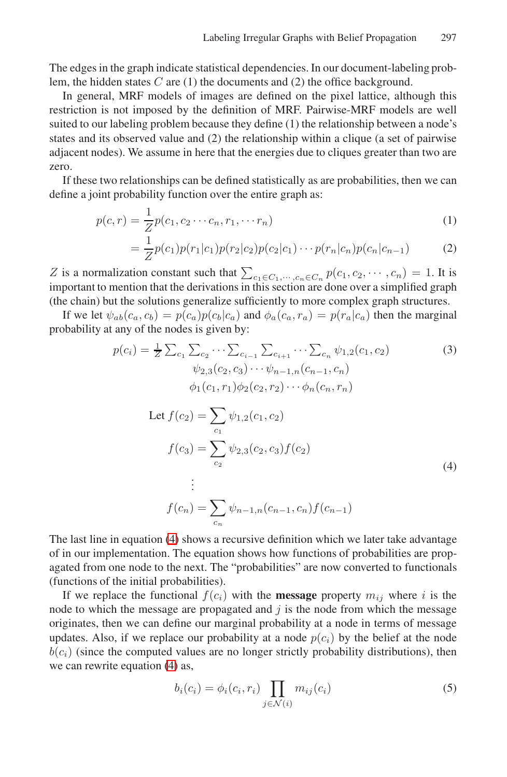The edges in the graph indicate statistical dependencies. In our document-labeling problem, the hidden states C are (1) the documents and (2) the office background.

In general, MRF models of images are defined on the pixel lattice, although this restriction is not imposed by the definition of MRF. Pairwise-MRF models are well suited to our labeling problem because they define (1) the relationship between a node's states and its observed value and (2) the relationship within a clique (a set of pairwise adjacent nodes). We assume in here that the energies due to cliques greater than two are zero.

If these two relationships can be defined statistically as are probabilities, then we can define a joint probability function over the entire graph as:

$$
p(c,r) = \frac{1}{Z}p(c_1, c_2 \cdots c_n, r_1, \cdots r_n)
$$
\n(1)

$$
= \frac{1}{Z}p(c_1)p(r_1|c_1)p(r_2|c_2)p(c_2|c_1)\cdots p(r_n|c_n)p(c_n|c_{n-1})
$$
\n(2)

<span id="page-2-0"></span>Z is a normalization constant such that  $\sum_{c_1 \in C_1, \dots, c_n \in C_n} p(c_1, c_2, \dots, c_n) = 1$ . It is important to mention that the derivations in this section are done over a simplified graph (the chain) but the solutions generalize sufficiently to more complex graph structures.

If we let  $\psi_{ab}(c_a, c_b) = p(c_a)p(c_b|c_a)$  and  $\phi_a(c_a, r_a) = p(r_a|c_a)$  then the marginal probability at any of the nodes is given by:

$$
p(c_i) = \frac{1}{Z} \sum_{c_1} \sum_{c_2} \cdots \sum_{c_{i-1}} \sum_{c_{i+1}} \cdots \sum_{c_n} \psi_{1,2}(c_1, c_2)
$$
  
\n
$$
\psi_{2,3}(c_2, c_3) \cdots \psi_{n-1,n}(c_{n-1}, c_n)
$$
  
\n
$$
\phi_1(c_1, r_1) \phi_2(c_2, r_2) \cdots \phi_n(c_n, r_n)
$$
  
\nLet  $f(c_2) = \sum_{c_1} \psi_{1,2}(c_1, c_2)$   
\n
$$
f(c_3) = \sum_{c_2} \psi_{2,3}(c_2, c_3) f(c_2)
$$
  
\n
$$
\vdots
$$
  
\n
$$
f(c_n) = \sum_{c_n} \psi_{n-1,n}(c_{n-1}, c_n) f(c_{n-1})
$$
  
\n(4)

The last line in equation (4) shows a recursive definition which we later take advantage of i[n o](#page-2-0)ur implementation. The equation shows how functions of probabilities are propagated from one node to the next. The "probabilities" are now converted to functionals (functions of the initial probabilities).

If we replace the functional  $f(c_i)$  with the **message** property  $m_{ij}$  where i is the node to which the message are propagated and  $j$  is the node from which the message originates, then we can define our marginal probability at a node in terms of message updates. Also, if we replace our probability at a node  $p(c_i)$  by the belief at the node  $b(c_i)$  (since the computed values are no longer strictly probability distributions), then we can rewrite equation (4) as,

$$
b_i(c_i) = \phi_i(c_i, r_i) \prod_{j \in \mathcal{N}(i)} m_{ij}(c_i)
$$
\n
$$
(5)
$$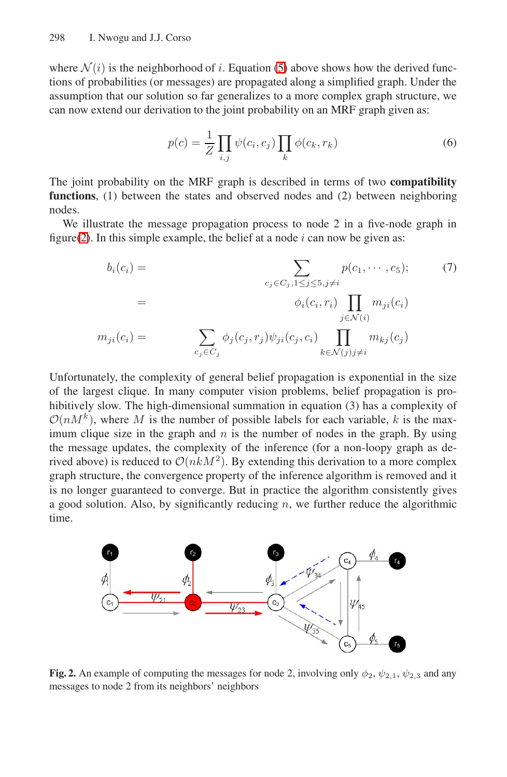#### 298 I. Nwogu and J.J. Corso

where  $\mathcal{N}(i)$  is the neighborhood of i. Equation (5) above shows how the derived functions of probabilities (or messages) are propagated along a simplified graph. Under the assumption that our solution so far generalizes to a more complex graph structure, we can now extend our derivation to the joint probability on an MRF graph given as:

<span id="page-3-0"></span>
$$
p(c) = \frac{1}{Z} \prod_{i,j} \psi(c_i, c_j) \prod_k \phi(c_k, r_k)
$$
\n<sup>(6)</sup>

The joint probability on the MRF graph is described in terms of two **compatibility functions**, (1) between the states and observed nodes and (2) between neighboring nodes.

We illustrate the message propagation process to node 2 in a five-node graph in figure(2). In this simple example, the belief at a node  $i$  can now be given as:

$$
b_i(c_i) = \sum_{c_j \in C_j, 1 \leq j \leq 5, j \neq i} p(c_1, \dots, c_5); \qquad (7)
$$

$$
= \phi_i(c_i, r_i) \prod_{j \in \mathcal{N}(i)} m_{ji}(c_i)
$$

$$
m_{ji}(c_i) = \sum_{c_j \in C_j} \phi_j(c_j, r_j) \psi_{ji}(c_j, c_i) \prod_{k \in \mathcal{N}(j) j \neq i} m_{kj}(c_j)
$$

Unfortunately, the complexity of general belief propagation is exponential in the size of the largest clique. In many computer vision problems, belief propagation is prohibitively slow. The high-dimensional summation in equation (3) has a complexity of  $\mathcal{O}(nM^k)$ , where M is the number of possible labels for each variable, k is the maximum clique size in the graph and  $n$  is the number of nodes in the graph. By using the message updates, the complexity of the inference (for a non-loopy graph as derived above) is reduced to  $\mathcal{O}(nkM^2)$ . By extending this derivation to a more complex graph structure, the convergence property of the inference algorithm is removed and it is no longer guaranteed to converge. But in practice the algorithm consistently gives a good solution. Also, by significantly reducing  $n$ , we further reduce the algorithmic time.



**Fig. 2.** An example of computing the messages for node 2, involving only  $\phi_2$ ,  $\psi_{2,1}$ ,  $\psi_{2,3}$  and any messages to node 2 from its neighbors' neighbors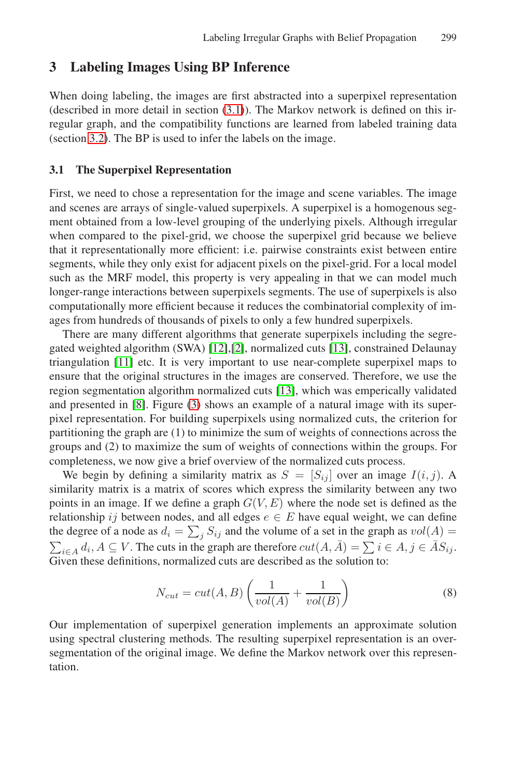# <span id="page-4-0"></span>**3 Labeling Images Using BP Inference**

When doing labeling, the images are first abstracted into a superpixel representation (described in more detail in section (3.1)). The Markov network is defined on this irregular graph, and the compatibility functions are learned from labeled training data (section 3.2). The BP is used to infer the labels on the image.

#### **3.1 The Superpixel Representation**

First, we need to chose a representation for the image and scene variables. The image and scenes are arrays of single-valued superpixels. A superpixel is a homogenous segment obtained from a low-level grouping of the underlying pixels. Although irregular when compa[red](#page-10-4) t[o t](#page-9-1)he pixel-grid, we [cho](#page-10-5)ose the superpixel grid because we believe that it representationally more efficient: i.e. pairwise constraints exist between entire segments, while they only exist for adjacent pixels on the pixel-grid. For a local model such as the MRF model, t[his p](#page-10-5)roperty is very appealing in that we can model much longer-ra[ng](#page-5-0)e interactions between superpixels segments. The use of superpixels is also computationally more efficient because it reduces the combinatorial complexity of images from hundreds of thousands of pixels to only a few hundred superpixels.

There are many different algorithms that generate superpixels including the segregated weighted algorithm (SWA) [12],[2], normalized cuts [13], constrained Delaunay triangulation [11] etc. It is very important to use near-complete superpixel maps to ensure that the original structures in the images are conserved. Therefore, we use the region segmentation algorithm normalized cuts [13], which was emperically validated and presented in [8]. Figure (3) shows an example of a natural image with its superpixel representation. For building superpixels using normalized cuts, the criterion for partitioning the graph are (1) to minimize the sum of weights of connections across the groups and (2) to maximize the sum of weights of connections within the groups. For completeness, we now give a brief overview of the normalized cuts process.

We begin by defining a similarity matrix as  $S = [S_{ij}]$  over an image  $I(i, j)$ . A similarity matrix is a matrix of scores which express the similarity between any two points in an image. If we define a graph  $G(V, E)$  where the node set is defined as the relationship ij between nodes, and all edges  $e \in E$  have equal weight, we can define the degree of a node as  $d_i = \sum_j S_{ij}$  and the volume of a set in the graph as  $vol(A)$  $\sum_{i\in A} d_i, A \subseteq V$ . The cuts in the graph are therefore  $cut(A, \bar{A}) = \sum_{i\in A} i \in \bar{A}S_{ij}$ . Given these definitions, normalized cuts are described as the solution to:

$$
N_{cut} = cut(A, B) \left( \frac{1}{vol(A)} + \frac{1}{vol(B)} \right)
$$
 (8)

Our implementation of superpixel generation implements an approximate solution using spectral clustering methods. The resulting superpixel representation is an oversegmentation of the original image. We define the Markov network over this representation.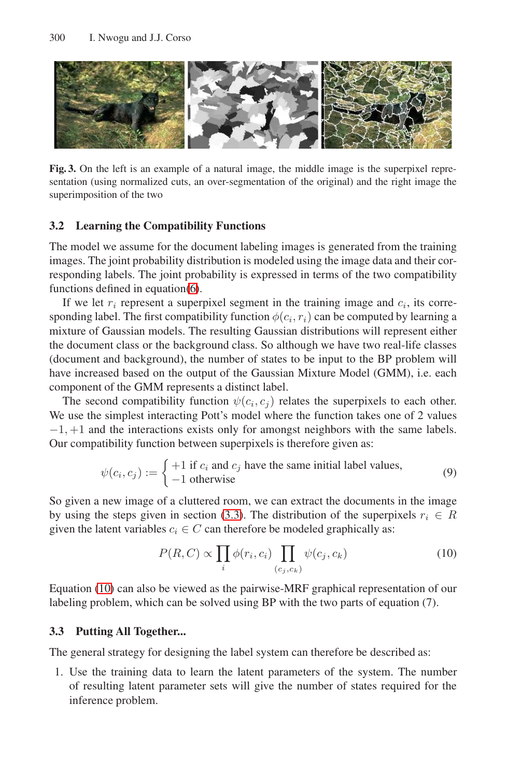#### 300 I. Nwogu and J.J. Corso

<span id="page-5-0"></span>

**Fig. 3.** On the left is an example of a natural image, the middle image is the superpixel representation [\(us](#page-3-0)ing normalized cuts, an over-segmentation of the original) and the right image the superimposition of the two

# **3.2 Learning the Compatibility Functions**

The model we assume for the document labeling images is generated from the training images. The joint probability distribution is modeled using the image data and their corresponding labels. The joint probability is expressed in terms of the two compatibility functions defined in equation(6).

If we let  $r_i$  represent a superpixel segment in the training image and  $c_i$ , its corresponding label. The first compatibility function  $\phi(c_i, r_i)$  can be computed by learning a mixture of Gaussian models. The resulting Gaussian distributions will represent either the document class or the background class. So although we have two real-life classes (document and background), the number of states to be input to the BP problem will have increased based on the output of the Gaussian Mixture Model (GMM), i.e. each component of the GMM represents a distinct label.

The second [comp](#page-5-1)atibility function  $\psi(c_i, c_j)$  relates the superpixels to each other. We use the simplest interacting Pott's model where the function takes one of 2 values  $-1$ ,  $+1$  and the interactions exists only for amongst neighbors with the same labels. Our compatibility function between superpixels is therefore given as:

$$
\psi(c_i, c_j) := \begin{cases} +1 \text{ if } c_i \text{ and } c_j \text{ have the same initial label values,} \\ -1 \text{ otherwise} \end{cases}
$$
(9)

<span id="page-5-1"></span>So given a new image of a cluttered room, we can extract the documents in the image by using the steps given in section (3.3). The distribution of the superpixels  $r_i \in R$ given the latent variables  $c_i \in C$  can therefore be modeled graphically as:

$$
P(R, C) \propto \prod_{i} \phi(r_i, c_i) \prod_{(c_j, c_k)} \psi(c_j, c_k)
$$
 (10)

Equation (10) can also be viewed as the pairwise-MRF graphical representation of our labeling problem, which can be solved using BP with the two parts of equation (7).

#### **3.3 Putting All Together...**

The general strategy for designing the label system can therefore be described as:

1. Use the training data to learn the latent parameters of the system. The number of resulting latent parameter sets will give the number of states required for the inference problem.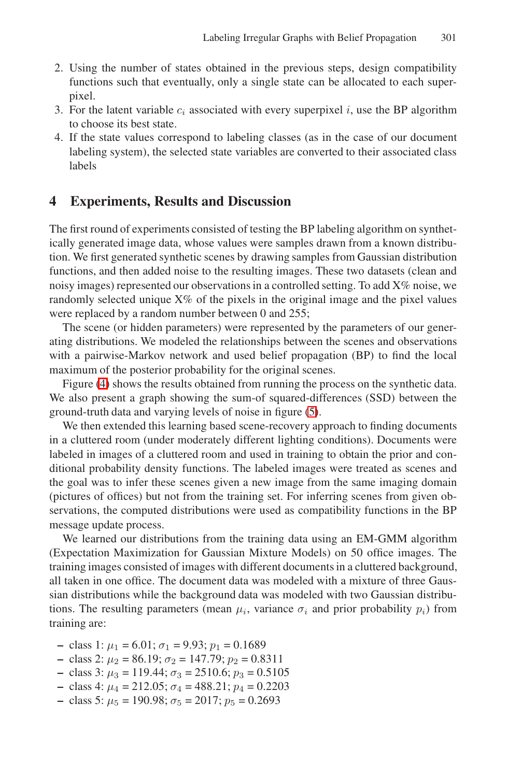- <span id="page-6-0"></span>2. Using the number of states obtained in the previous steps, design compatibility functions such that eventually, only a single state can be allocated to each superpixel.
- 3. For the latent variable  $c_i$  associated with every superpixel i, use the BP algorithm to choose its best state.
- 4. If the state values correspond to labeling classes (as in the case of our document labeling system), the selected state variables are converted to their associated class labels

### **4 Experiments, Results and Discussion**

The first round of experiments consisted of testing the BP labeling algorithm on synthetically generated image data, whose values were samples drawn from a known distribution. We first generated synthetic scenes by drawing samples from Gaussian distribution functions, and then added noise to the resulting images. These two datasets (clean and noisy images) represented our observations in a controlled setting. To add X% noise, we randomly selected unique  $X\%$  of [th](#page-7-0)e pixels in the original image and the pixel values were replaced by a random number between 0 and 255;

The scene (or hidden parameters) were represented by the parameters of our generating distributions. We modeled the relationships between the scenes and observations with a pairwise-Markov network and used belief propagation (BP) to find the local maximum of the posterior probability for the original scenes.

Figure (4) shows the results obtained from running the process on the synthetic data. We also present a graph showing the sum-of squared-differences (SSD) between the ground-truth data and varying levels of noise in figure (5).

We then extended this learning based scene-recovery approach to finding documents in a cluttered room (under moderately different lighting conditions). Documents were labeled in images of a cluttered room and used in training to obtain the prior and conditional probability density functions. The labeled images were treated as scenes and the goal was to infer these scenes given a new image from the same imaging domain (pictures of offices) but not from the training set. For inferring scenes from given observations, the computed distributions were used as compatibility functions in the BP message update process.

We learned our distributions from the training data using an EM-GMM algorithm (Expectation Maximization for Gaussian Mixture Models) on 50 office images. The training images consisted of images with different documents in a cluttered background, all taken in one office. The document data was modeled with a mixture of three Gaussian distributions while the background data was modeled with two Gaussian distributions. The resulting parameters (mean  $\mu_i$ , variance  $\sigma_i$  and prior probability  $p_i$ ) from training are:

- $-$  class 1:  $\mu_1 = 6.01$ ;  $\sigma_1 = 9.93$ ;  $p_1 = 0.1689$
- $-$  class 2:  $\mu_2$  = 86.19;  $\sigma_2$  = 147.79;  $p_2$  = 0.8311
- $-$  class 3:  $\mu_3 = 119.44$ ;  $\sigma_3 = 2510.6$ ;  $p_3 = 0.5105$
- $-$  class 4:  $\mu_4 = 212.05$ ;  $\sigma_4 = 488.21$ ;  $p_4 = 0.2203$
- $-$  class 5:  $\mu$ <sub>5</sub> = 190.98;  $\sigma$ <sub>5</sub> = 2017;  $p$ <sub>5</sub> = 0.2693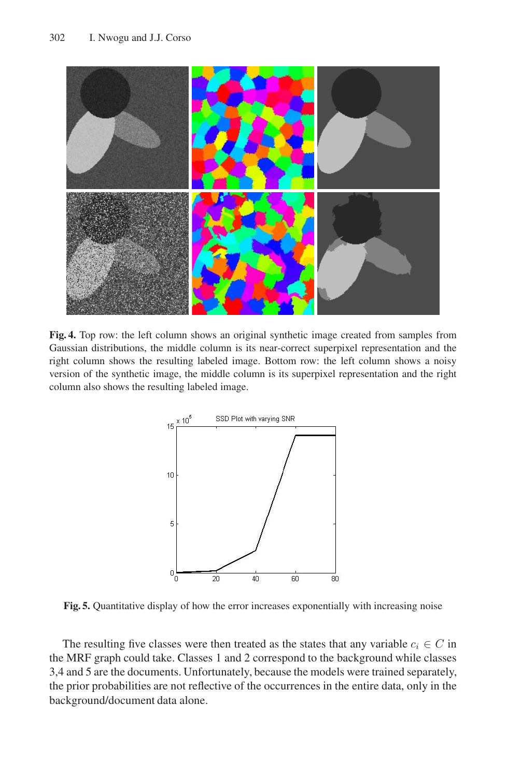

**Fig. 4.** Top row: the left column shows an original synthetic image created from samples from Gaussian distributions, the middle column is its near-correct superpixel representation and the right column shows the resulting labeled image. Bottom row: the left column shows a noisy version of the synthetic image, the middle column is its superpixel representation and the right column also shows the resulting labeled image.



**Fig. 5.** Quantitative display of how the error increases exponentially with increasing noise

<span id="page-7-0"></span>The resulting five classes were then treated as the states that any variable  $c_i \in C$  in the MRF graph could take. Classes 1 and 2 correspond to the background while classes 3,4 and 5 are the documents. Unfortunately, because the models were trained separately, the prior probabilities are not reflective of the occurrences in the entire data, only in the background/document data alone.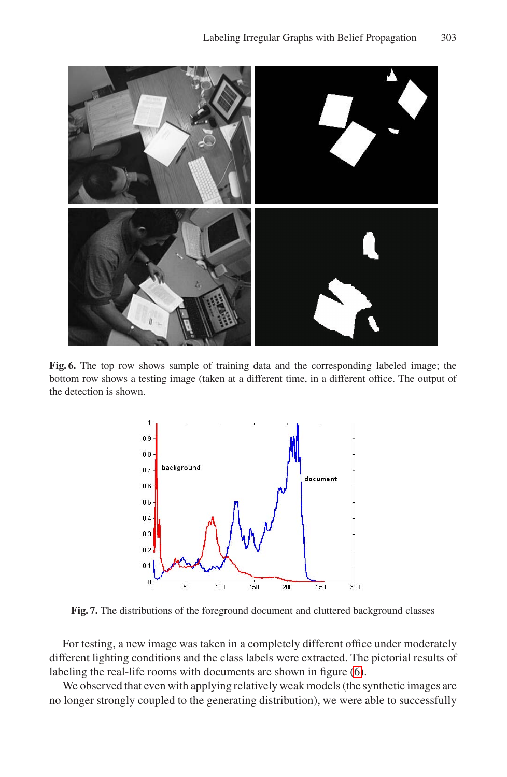

**Fig. 6.** The top row shows sample of training data and the corresponding labeled image; the bottom row shows a testing image (taken at a different time, in a different office. The output of the detection is shown.



**Fig. 7.** The distributions of the foreground document and cluttered background classes

For testing, a new image was taken in a completely different office under moderately different lighting conditions and the class labels were extracted. The pictorial results of labeling the real-life rooms with documents are shown in figure (6).

We observed that even with applying relatively weak models (the synthetic images are no longer strongly coupled to the generating distribution), we were able to successfully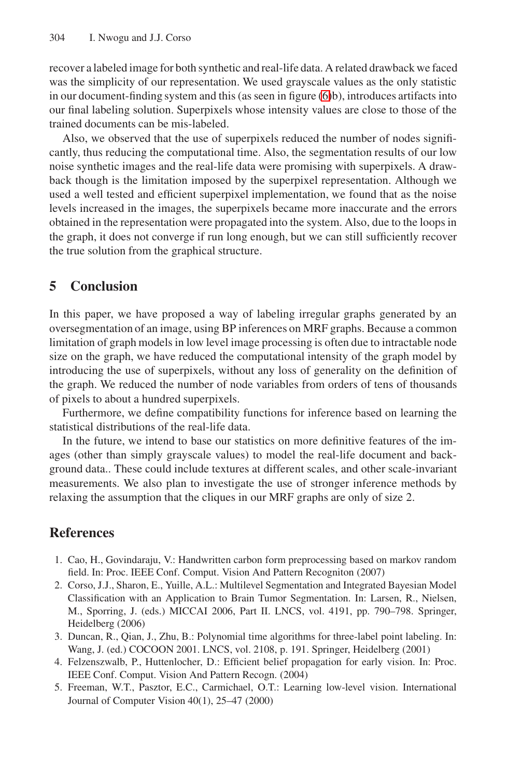#### 304 I. Nwogu and J.J. Corso

recover a labeled image for both synthetic and real-life data. A related drawback we faced was the simplicity of our representation. We used grayscale values as the only statistic in our document-finding system and this (as seen in figure (6)b), introduces artifacts into our final labeling solution. Superpixels whose intensity values are close to those of the trained documents can be mis-labeled.

Also, we observed that the use of superpixels reduced the number of nodes significantly, thus reducing the computational time. Also, the segmentation results of our low noise synthetic images and the real-life data were promising with superpixels. A drawback though is the limitation imposed by the superpixel representation. Although we used a well tested and efficient superpixel implementation, we found that as the noise levels increased in the images, the superpixels became more inaccurate and the errors obtained in the representation were propagated into the system. Also, due to the loops in the graph, it does not converge if run long enough, but we can still sufficiently recover the true solution from the graphical structure.

## **5 Conclusion**

In this paper, we have proposed a way of labeling irregular graphs generated by an oversegmentation of an image, using BP inferences on MRF graphs. Because a common limitation of graph models in low level image processing is often due to intractable node size on the graph, we have reduced the computational intensity of the graph model by introducing the use of superpixels, without any loss of generality on the definition of the graph. We reduced the number of node variables from orders of tens of thousands of pixels to about a hundred superpixels.

Furthermore, we define compatibility functions for inference based on learning the statistical distributions of the real-life data.

<span id="page-9-1"></span>In the future, we intend to base our statistics on more definitive features of the images (other than simply grayscale values) to model the real-life document and background data.. These could include textures at different scales, and other scale-invariant measurements. We also plan to investigate the use of stronger inference methods by relaxing the assumption that the cliques in our MRF graphs are only of size 2.

### <span id="page-9-0"></span>**References**

- 1. Cao, H., Govindaraju, V.: Handwritten carbon form preprocessing based on markov random field. In: Proc. IEEE Conf. Comput. Vision And Pattern Recogniton (2007)
- 2. Corso, J.J., Sharon, E., Yuille, A.L.: Multilevel Segmentation and Integrated Bayesian Model Classification with an Application to Brain Tumor Segmentation. In: Larsen, R., Nielsen, M., Sporring, J. (eds.) MICCAI 2006, Part II. LNCS, vol. 4191, pp. 790–798. Springer, Heidelberg (2006)
- 3. Duncan, R., Qian, J., Zhu, B.: Polynomial time algorithms for three-label point labeling. In: Wang, J. (ed.) COCOON 2001. LNCS, vol. 2108, p. 191. Springer, Heidelberg (2001)
- 4. Felzenszwalb, P., Huttenlocher, D.: Efficient belief propagation for early vision. In: Proc. IEEE Conf. Comput. Vision And Pattern Recogn. (2004)
- 5. Freeman, W.T., Pasztor, E.C., Carmichael, O.T.: Learning low-level vision. International Journal of Computer Vision 40(1), 25–47 (2000)